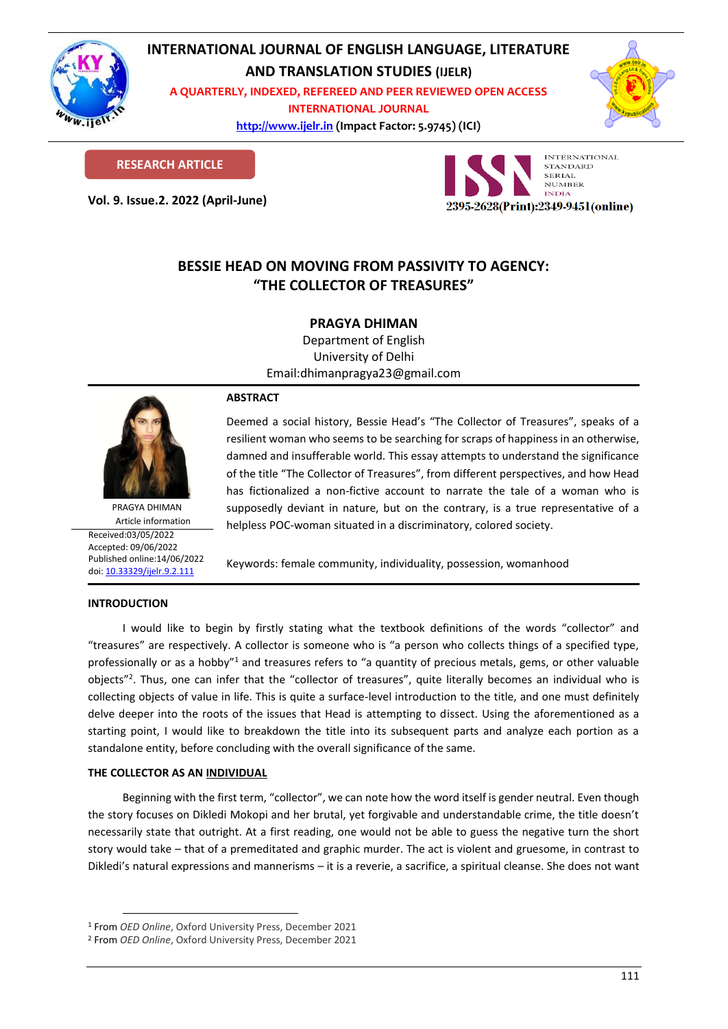

# **INTERNATIONAL JOURNAL OF ENGLISH LANGUAGE, LITERATURE**

**AND TRANSLATION STUDIES (IJELR)**

**A QUARTERLY, INDEXED, REFEREED AND PEER REVIEWED OPEN ACCESS INTERNATIONAL JOURNAL**

> **[http://www.ijelr.in](http://www.ijelr.in/) (Impact Factor: 5.9745) (ICI) KY PUBLICATIONS**



**RESEARCH ARTICLE**

**Vol. 9. Issue.2. 2022 (April-June) ARTICLE**



# **BESSIE HEAD ON MOVING FROM PASSIVITY TO AGENCY: "THE COLLECTOR OF TREASURES"**

# **PRAGYA DHIMAN**

Department of English University of Delhi Email:dhimanpragya23@gmail.com



PRAGYA DHIMAN Article information Received:03/05/2022 Accepted: 09/06/2022 Published online:14/06/2022 [doi: 10.33329/ijelr.9.2.1](http://www.ijelr.in/)11

# **ABSTRACT**

Deemed a social history, Bessie Head's "The Collector of Treasures", speaks of a resilient woman who seems to be searching for scraps of happiness in an otherwise, damned and insufferable world. This essay attempts to understand the significance of the title "The Collector of Treasures", from different perspectives, and how Head has fictionalized a non-fictive account to narrate the tale of a woman who is supposedly deviant in nature, but on the contrary, is a true representative of a helpless POC-woman situated in a discriminatory, colored society.

Keywords: female community, individuality, possession, womanhood

## **INTRODUCTION**

I would like to begin by firstly stating what the textbook definitions of the words "collector" and "treasures" are respectively. A collector is someone who is "a person who collects things of a specified type, professionally or as a hobby"<sup>1</sup> and treasures refers to "a quantity of precious metals, gems, or other valuable objects"<sup>2</sup>. Thus, one can infer that the "collector of treasures", quite literally becomes an individual who is collecting objects of value in life. This is quite a surface-level introduction to the title, and one must definitely delve deeper into the roots of the issues that Head is attempting to dissect. Using the aforementioned as a starting point, I would like to breakdown the title into its subsequent parts and analyze each portion as a standalone entity, before concluding with the overall significance of the same.

# **THE COLLECTOR AS AN INDIVIDUAL**

Beginning with the first term, "collector", we can note how the word itself is gender neutral. Even though the story focuses on Dikledi Mokopi and her brutal, yet forgivable and understandable crime, the title doesn't necessarily state that outright. At a first reading, one would not be able to guess the negative turn the short story would take – that of a premeditated and graphic murder. The act is violent and gruesome, in contrast to Dikledi's natural expressions and mannerisms – it is a reverie, a sacrifice, a spiritual cleanse. She does not want

<sup>1</sup> From *OED Online*, Oxford University Press, December 2021

<sup>2</sup> From *OED Online*, Oxford University Press, December 2021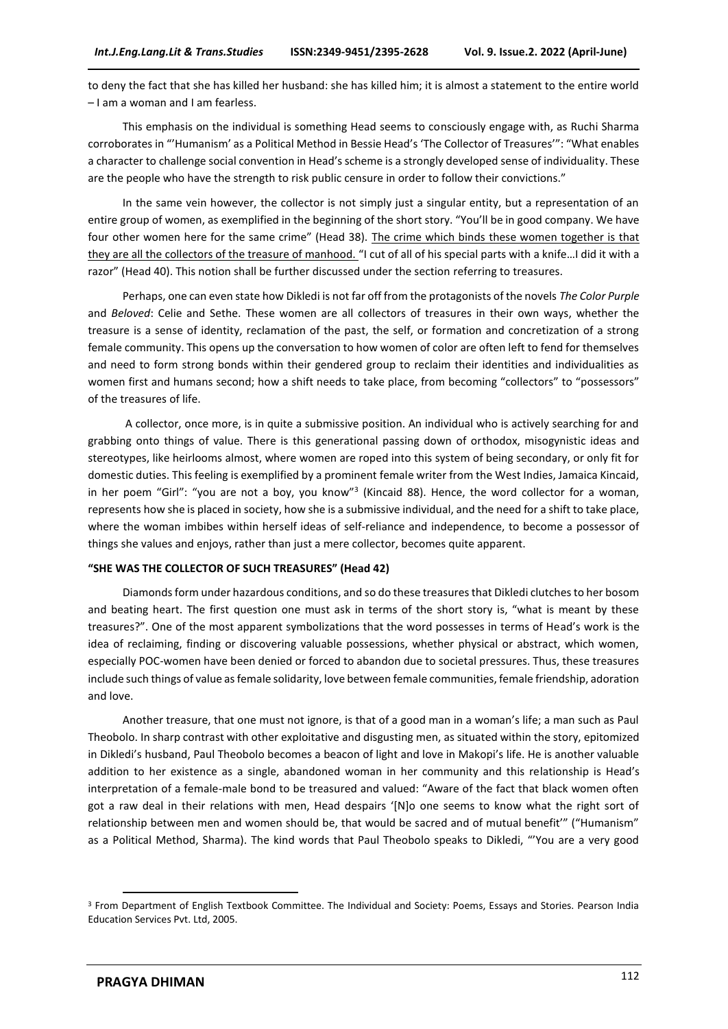to deny the fact that she has killed her husband: she has killed him; it is almost a statement to the entire world – I am a woman and I am fearless.

This emphasis on the individual is something Head seems to consciously engage with, as Ruchi Sharma corroborates in "'Humanism' as a Political Method in Bessie Head's 'The Collector of Treasures'": "What enables a character to challenge social convention in Head's scheme is a strongly developed sense of individuality. These are the people who have the strength to risk public censure in order to follow their convictions."

In the same vein however, the collector is not simply just a singular entity, but a representation of an entire group of women, as exemplified in the beginning of the short story. "You'll be in good company. We have four other women here for the same crime" (Head 38). The crime which binds these women together is that they are all the collectors of the treasure of manhood. "I cut of all of his special parts with a knife…I did it with a razor" (Head 40). This notion shall be further discussed under the section referring to treasures.

Perhaps, one can even state how Dikledi is not far off from the protagonists of the novels *The Color Purple* and *Beloved*: Celie and Sethe. These women are all collectors of treasures in their own ways, whether the treasure is a sense of identity, reclamation of the past, the self, or formation and concretization of a strong female community. This opens up the conversation to how women of color are often left to fend for themselves and need to form strong bonds within their gendered group to reclaim their identities and individualities as women first and humans second; how a shift needs to take place, from becoming "collectors" to "possessors" of the treasures of life.

A collector, once more, is in quite a submissive position. An individual who is actively searching for and grabbing onto things of value. There is this generational passing down of orthodox, misogynistic ideas and stereotypes, like heirlooms almost, where women are roped into this system of being secondary, or only fit for domestic duties. This feeling is exemplified by a prominent female writer from the West Indies, Jamaica Kincaid, in her poem "Girl": "you are not a boy, you know"<sup>3</sup> (Kincaid 88). Hence, the word collector for a woman, represents how she is placed in society, how she is a submissive individual, and the need for a shift to take place, where the woman imbibes within herself ideas of self-reliance and independence, to become a possessor of things she values and enjoys, rather than just a mere collector, becomes quite apparent.

#### **"SHE WAS THE COLLECTOR OF SUCH TREASURES" (Head 42)**

Diamonds form under hazardous conditions, and so do these treasures that Dikledi clutches to her bosom and beating heart. The first question one must ask in terms of the short story is, "what is meant by these treasures?". One of the most apparent symbolizations that the word possesses in terms of Head's work is the idea of reclaiming, finding or discovering valuable possessions, whether physical or abstract, which women, especially POC-women have been denied or forced to abandon due to societal pressures. Thus, these treasures include such things of value as female solidarity, love between female communities, female friendship, adoration and love.

Another treasure, that one must not ignore, is that of a good man in a woman's life; a man such as Paul Theobolo. In sharp contrast with other exploitative and disgusting men, as situated within the story, epitomized in Dikledi's husband, Paul Theobolo becomes a beacon of light and love in Makopi's life. He is another valuable addition to her existence as a single, abandoned woman in her community and this relationship is Head's interpretation of a female-male bond to be treasured and valued: "Aware of the fact that black women often got a raw deal in their relations with men, Head despairs '[N]o one seems to know what the right sort of relationship between men and women should be, that would be sacred and of mutual benefit'" ("Humanism" as a Political Method, Sharma). The kind words that Paul Theobolo speaks to Dikledi, "'You are a very good

<sup>3</sup> From Department of English Textbook Committee. The Individual and Society: Poems, Essays and Stories. Pearson India Education Services Pvt. Ltd, 2005.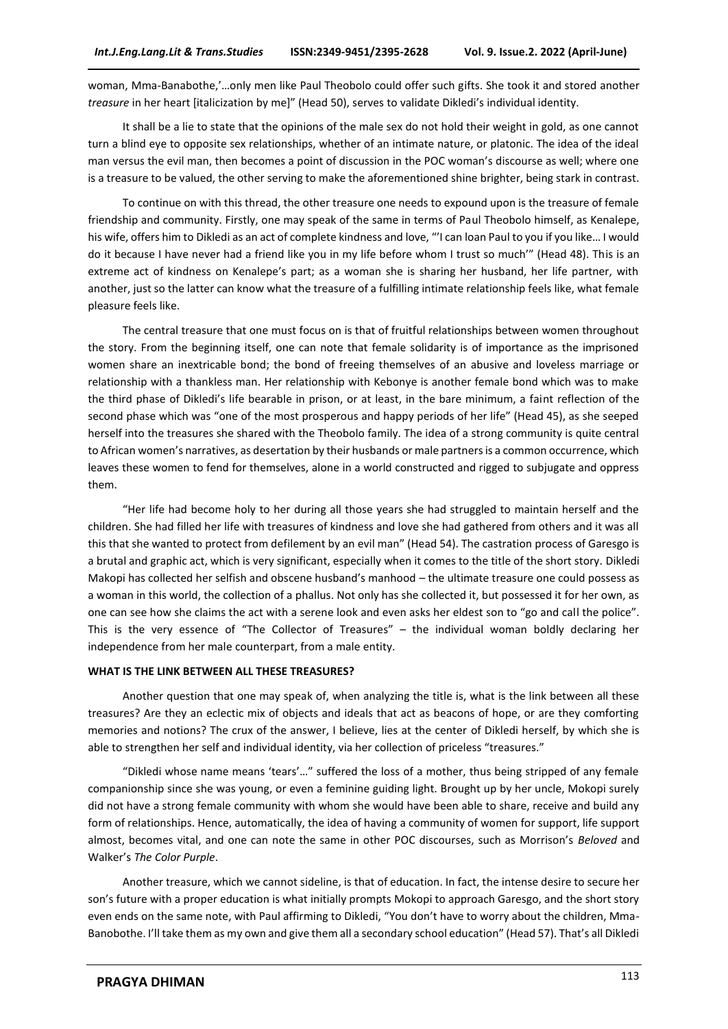woman, Mma-Banabothe,'…only men like Paul Theobolo could offer such gifts. She took it and stored another *treasure* in her heart [italicization by me]" (Head 50), serves to validate Dikledi's individual identity.

It shall be a lie to state that the opinions of the male sex do not hold their weight in gold, as one cannot turn a blind eye to opposite sex relationships, whether of an intimate nature, or platonic. The idea of the ideal man versus the evil man, then becomes a point of discussion in the POC woman's discourse as well; where one is a treasure to be valued, the other serving to make the aforementioned shine brighter, being stark in contrast.

To continue on with this thread, the other treasure one needs to expound upon is the treasure of female friendship and community. Firstly, one may speak of the same in terms of Paul Theobolo himself, as Kenalepe, his wife, offers him to Dikledi as an act of complete kindness and love, "'I can loan Paul to you if you like... I would do it because I have never had a friend like you in my life before whom I trust so much'" (Head 48). This is an extreme act of kindness on Kenalepe's part; as a woman she is sharing her husband, her life partner, with another, just so the latter can know what the treasure of a fulfilling intimate relationship feels like, what female pleasure feels like.

The central treasure that one must focus on is that of fruitful relationships between women throughout the story. From the beginning itself, one can note that female solidarity is of importance as the imprisoned women share an inextricable bond; the bond of freeing themselves of an abusive and loveless marriage or relationship with a thankless man. Her relationship with Kebonye is another female bond which was to make the third phase of Dikledi's life bearable in prison, or at least, in the bare minimum, a faint reflection of the second phase which was "one of the most prosperous and happy periods of her life" (Head 45), as she seeped herself into the treasures she shared with the Theobolo family. The idea of a strong community is quite central to African women's narratives, as desertation by their husbands or male partners is a common occurrence, which leaves these women to fend for themselves, alone in a world constructed and rigged to subjugate and oppress them.

"Her life had become holy to her during all those years she had struggled to maintain herself and the children. She had filled her life with treasures of kindness and love she had gathered from others and it was all this that she wanted to protect from defilement by an evil man" (Head 54). The castration process of Garesgo is a brutal and graphic act, which is very significant, especially when it comes to the title of the short story. Dikledi Makopi has collected her selfish and obscene husband's manhood – the ultimate treasure one could possess as a woman in this world, the collection of a phallus. Not only has she collected it, but possessed it for her own, as one can see how she claims the act with a serene look and even asks her eldest son to "go and call the police". This is the very essence of "The Collector of Treasures" – the individual woman boldly declaring her independence from her male counterpart, from a male entity.

## **WHAT IS THE LINK BETWEEN ALL THESE TREASURES?**

Another question that one may speak of, when analyzing the title is, what is the link between all these treasures? Are they an eclectic mix of objects and ideals that act as beacons of hope, or are they comforting memories and notions? The crux of the answer, I believe, lies at the center of Dikledi herself, by which she is able to strengthen her self and individual identity, via her collection of priceless "treasures."

"Dikledi whose name means 'tears'…" suffered the loss of a mother, thus being stripped of any female companionship since she was young, or even a feminine guiding light. Brought up by her uncle, Mokopi surely did not have a strong female community with whom she would have been able to share, receive and build any form of relationships. Hence, automatically, the idea of having a community of women for support, life support almost, becomes vital, and one can note the same in other POC discourses, such as Morrison's *Beloved* and Walker's *The Color Purple*.

Another treasure, which we cannot sideline, is that of education. In fact, the intense desire to secure her son's future with a proper education is what initially prompts Mokopi to approach Garesgo, and the short story even ends on the same note, with Paul affirming to Dikledi, "You don't have to worry about the children, Mma-Banobothe. I'll take them as my own and give them all a secondary school education" (Head 57). That's all Dikledi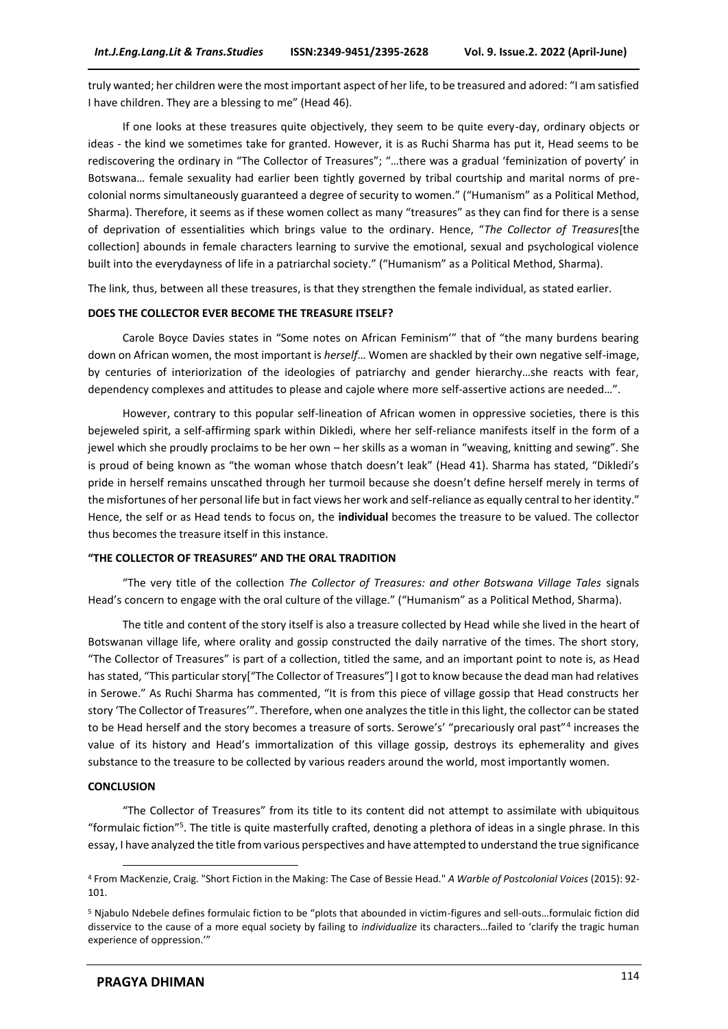truly wanted; her children were the most important aspect of her life, to be treasured and adored: "I am satisfied I have children. They are a blessing to me" (Head 46).

If one looks at these treasures quite objectively, they seem to be quite every-day, ordinary objects or ideas - the kind we sometimes take for granted. However, it is as Ruchi Sharma has put it, Head seems to be rediscovering the ordinary in "The Collector of Treasures"; "…there was a gradual 'feminization of poverty' in Botswana… female sexuality had earlier been tightly governed by tribal courtship and marital norms of precolonial norms simultaneously guaranteed a degree of security to women." ("Humanism" as a Political Method, Sharma). Therefore, it seems as if these women collect as many "treasures" as they can find for there is a sense of deprivation of essentialities which brings value to the ordinary. Hence, "*The Collector of Treasures*[the collection] abounds in female characters learning to survive the emotional, sexual and psychological violence built into the everydayness of life in a patriarchal society." ("Humanism" as a Political Method, Sharma).

The link, thus, between all these treasures, is that they strengthen the female individual, as stated earlier.

#### **DOES THE COLLECTOR EVER BECOME THE TREASURE ITSELF?**

Carole Boyce Davies states in "Some notes on African Feminism'" that of "the many burdens bearing down on African women, the most important is *herself*… Women are shackled by their own negative self-image, by centuries of interiorization of the ideologies of patriarchy and gender hierarchy…she reacts with fear, dependency complexes and attitudes to please and cajole where more self-assertive actions are needed…".

However, contrary to this popular self-lineation of African women in oppressive societies, there is this bejeweled spirit, a self-affirming spark within Dikledi, where her self-reliance manifests itself in the form of a jewel which she proudly proclaims to be her own – her skills as a woman in "weaving, knitting and sewing". She is proud of being known as "the woman whose thatch doesn't leak" (Head 41). Sharma has stated, "Dikledi's pride in herself remains unscathed through her turmoil because she doesn't define herself merely in terms of the misfortunes of her personal life but in fact views her work and self-reliance as equally central to her identity." Hence, the self or as Head tends to focus on, the **individual** becomes the treasure to be valued. The collector thus becomes the treasure itself in this instance.

#### **"THE COLLECTOR OF TREASURES" AND THE ORAL TRADITION**

"The very title of the collection *The Collector of Treasures: and other Botswana Village Tales* signals Head's concern to engage with the oral culture of the village." ("Humanism" as a Political Method, Sharma).

The title and content of the story itself is also a treasure collected by Head while she lived in the heart of Botswanan village life, where orality and gossip constructed the daily narrative of the times. The short story, "The Collector of Treasures" is part of a collection, titled the same, and an important point to note is, as Head has stated, "This particular story["The Collector of Treasures"] I got to know because the dead man had relatives in Serowe." As Ruchi Sharma has commented, "It is from this piece of village gossip that Head constructs her story 'The Collector of Treasures'". Therefore, when one analyzes the title in this light, the collector can be stated to be Head herself and the story becomes a treasure of sorts. Serowe's' "precariously oral past"<sup>4</sup> increases the value of its history and Head's immortalization of this village gossip, destroys its ephemerality and gives substance to the treasure to be collected by various readers around the world, most importantly women.

#### **CONCLUSION**

"The Collector of Treasures" from its title to its content did not attempt to assimilate with ubiquitous "formulaic fiction"<sup>5</sup>. The title is quite masterfully crafted, denoting a plethora of ideas in a single phrase. In this essay, I have analyzed the title from various perspectives and have attempted to understand the true significance

<sup>4</sup> From MacKenzie, Craig. "Short Fiction in the Making: The Case of Bessie Head." *A Warble of Postcolonial Voices* (2015): 92- 101.

<sup>5</sup> Njabulo Ndebele defines formulaic fiction to be "plots that abounded in victim-figures and sell-outs…formulaic fiction did disservice to the cause of a more equal society by failing to *individualize* its characters…failed to 'clarify the tragic human experience of oppression.'"